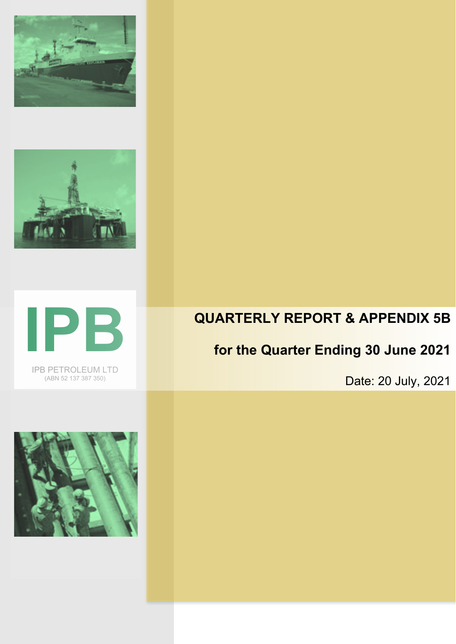





IPB PETROLEUM LTD (ABN 52 137 387 350)

## **QUARTERLY REPORT & APPENDIX 5B**

## **for the Quarter Ending 30 June 2021**

Date: 20 July, 2021

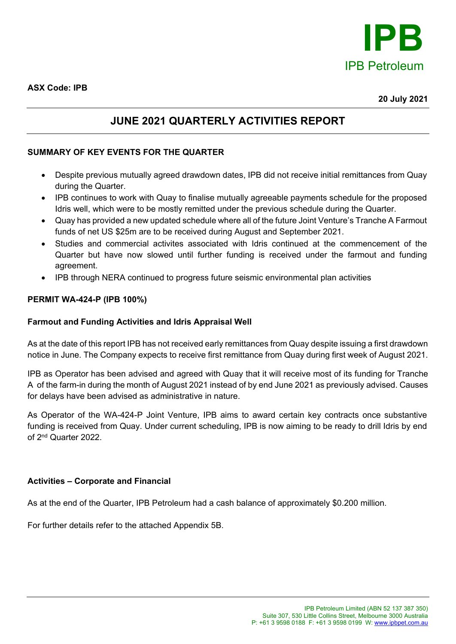

### **JUNE 2021 QUARTERLY ACTIVITIES REPORT**

#### **SUMMARY OF KEY EVENTS FOR THE QUARTER**

- Despite previous mutually agreed drawdown dates, IPB did not receive initial remittances from Quay during the Quarter.
- IPB continues to work with Quay to finalise mutually agreeable payments schedule for the proposed Idris well, which were to be mostly remitted under the previous schedule during the Quarter.
- Quay has provided a new updated schedule where all of the future Joint Venture's Tranche A Farmout funds of net US \$25m are to be received during August and September 2021.
- Studies and commercial activites associated with Idris continued at the commencement of the Quarter but have now slowed until further funding is received under the farmout and funding agreement.
- IPB through NERA continued to progress future seismic environmental plan activities

#### **PERMIT WA-424-P (IPB 100%)**

#### **Farmout and Funding Activities and Idris Appraisal Well**

As at the date of this report IPB has not received early remittances from Quay despite issuing a first drawdown notice in June. The Company expects to receive first remittance from Quay during first week of August 2021.

IPB as Operator has been advised and agreed with Quay that it will receive most of its funding for Tranche A of the farm-in during the month of August 2021 instead of by end June 2021 as previously advised. Causes for delays have been advised as administrative in nature.

As Operator of the WA-424-P Joint Venture, IPB aims to award certain key contracts once substantive funding is received from Quay. Under current scheduling, IPB is now aiming to be ready to drill Idris by end of 2nd Quarter 2022.

#### **Activities – Corporate and Financial**

As at the end of the Quarter, IPB Petroleum had a cash balance of approximately \$0.200 million.

For further details refer to the attached Appendix 5B.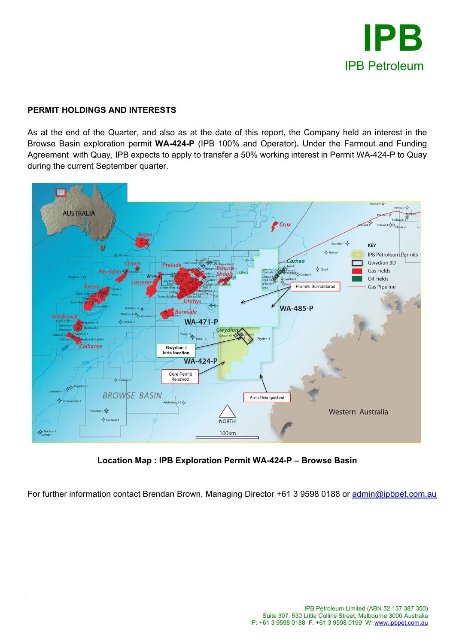

### **PERMIT HOLDINGS AND INTERESTS**

As at the end of the Quarter, and also as at the date of this report, the Company held an interest in the Browse Basin exploration permit **WA-424-P** (IPB 100% and Operator)**.** Under the Farmout and Funding Agreement with Quay, IPB expects to apply to transfer a 50% working interest in Permit WA-424-P to Quay during the current September quarter.



**Location Map : IPB Exploration Permit WA-424-P – Browse Basin**

For further information contact Brendan Brown, Managing Director +61 3 9598 0188 or [admin@ipbpet.com.au](mailto:admin@ipbpet.com.au)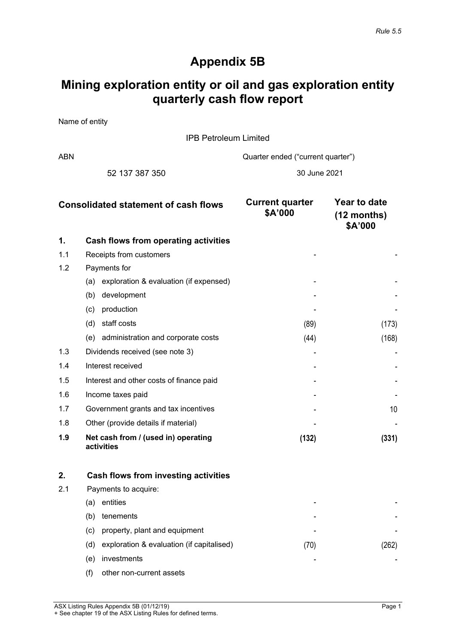### **Appendix 5B**

## **Mining exploration entity or oil and gas exploration entity quarterly cash flow report**

Name of entity

IPB Petroleum Limited

ABN Cuarter ended ("current quarter")

52 137 387 350 30 June 2021

| <b>Consolidated statement of cash flows</b> |                                                   | <b>Current quarter</b><br>\$A'000 | Year to date<br>$(12$ months)<br>\$A'000 |
|---------------------------------------------|---------------------------------------------------|-----------------------------------|------------------------------------------|
| 1.                                          | Cash flows from operating activities              |                                   |                                          |
| 1.1                                         | Receipts from customers                           |                                   |                                          |
| 1.2                                         | Payments for                                      |                                   |                                          |
|                                             | (a) exploration & evaluation (if expensed)        |                                   |                                          |
|                                             | development<br>(b)                                |                                   |                                          |
|                                             | production<br>(c)                                 |                                   |                                          |
|                                             | staff costs<br>(d)                                | (89)                              | (173)                                    |
|                                             | (e) administration and corporate costs            | (44)                              | (168)                                    |
| 1.3                                         | Dividends received (see note 3)                   |                                   |                                          |
| 1.4                                         | Interest received                                 |                                   |                                          |
| 1.5                                         | Interest and other costs of finance paid          |                                   |                                          |
| 1.6                                         | Income taxes paid                                 |                                   |                                          |
| 1.7                                         | Government grants and tax incentives              |                                   | 10                                       |
| 1.8                                         | Other (provide details if material)               |                                   |                                          |
| 1.9                                         | Net cash from / (used in) operating<br>activities | (132)                             | (331)                                    |

| 2.  |     | Cash flows from investing activities      |      |  |
|-----|-----|-------------------------------------------|------|--|
| 2.1 |     | Payments to acquire:                      |      |  |
|     | (a) | entities                                  | -    |  |
|     | (b) | tenements                                 | -    |  |
|     | (c) | property, plant and equipment             | -    |  |
|     | (d) | exploration & evaluation (if capitalised) | (70) |  |
|     | (e) | investments                               | -    |  |
|     | (f) | other non-current assets                  |      |  |

ASX Listing Rules Appendix 5B (01/12/19) Page 1 + See chapter 19 of the ASX Listing Rules for defined terms.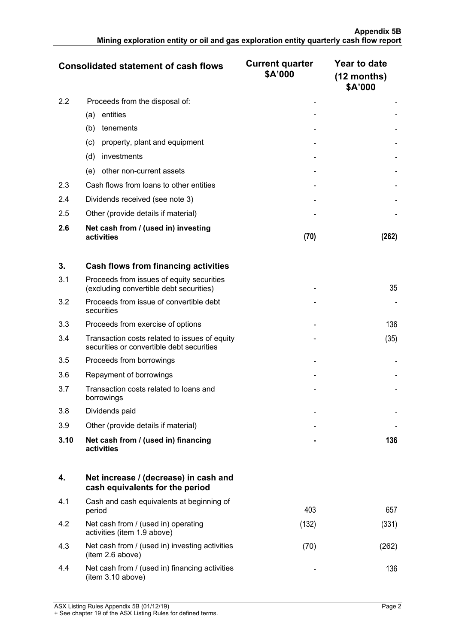|                  | <b>Consolidated statement of cash flows</b>       | <b>Current quarter</b><br>\$A'000 | Year to date<br>$(12$ months)<br>\$A'000 |
|------------------|---------------------------------------------------|-----------------------------------|------------------------------------------|
| $2.2\phantom{0}$ | Proceeds from the disposal of:                    |                                   |                                          |
|                  | entities<br>(a)                                   |                                   |                                          |
|                  | (b)<br>tenements                                  |                                   |                                          |
|                  | property, plant and equipment<br>(c)              |                                   |                                          |
|                  | investments<br>(d)                                |                                   |                                          |
|                  | other non-current assets<br>(e)                   |                                   |                                          |
| 2.3              | Cash flows from loans to other entities           |                                   |                                          |
| 2.4              | Dividends received (see note 3)                   |                                   |                                          |
| 2.5              | Other (provide details if material)               |                                   |                                          |
| 2.6              | Net cash from / (used in) investing<br>activities | (70)                              |                                          |

| 3.   | Cash flows from financing activities                                                       |   |      |
|------|--------------------------------------------------------------------------------------------|---|------|
| 3.1  | Proceeds from issues of equity securities<br>(excluding convertible debt securities)       |   | 35   |
| 3.2  | Proceeds from issue of convertible debt<br>securities                                      |   |      |
| 3.3  | Proceeds from exercise of options                                                          |   | 136  |
| 3.4  | Transaction costs related to issues of equity<br>securities or convertible debt securities |   | (35) |
| 3.5  | Proceeds from borrowings                                                                   |   |      |
| 3.6  | Repayment of borrowings                                                                    |   |      |
| 3.7  | Transaction costs related to loans and<br>borrowings                                       |   |      |
| 3.8  | Dividends paid                                                                             |   |      |
| 3.9  | Other (provide details if material)                                                        |   |      |
| 3.10 | Net cash from / (used in) financing<br>activities                                          | ۰ | 136  |

|     | Net increase / (decrease) in cash and<br>cash equivalents for the period |       |     |
|-----|--------------------------------------------------------------------------|-------|-----|
| 4.1 | Cash and cash equivalents at beginning of<br>period                      | 403   | 657 |
| 4.2 | Net cash from / (used in) operating<br>activities (item 1.9 above)       | (132) |     |
| 4.3 | Net cash from / (used in) investing activities<br>(item 2.6 above)       | 701   |     |
|     | Net cash from / (used in) financing activities<br>(item 3.10 above)      |       |     |

ASX Listing Rules Appendix 5B (01/12/19) Page 2 + See chapter 19 of the ASX Listing Rules for defined terms.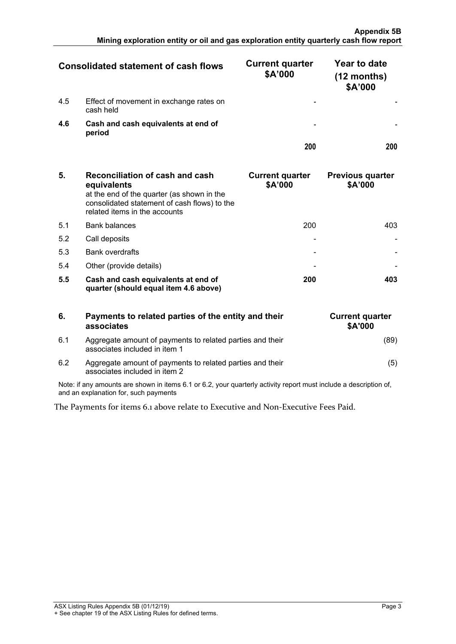| <b>Consolidated statement of cash flows</b> |                                                      | <b>Current quarter</b><br>\$A'000 | Year to date<br>(12 months)<br>\$A'000 |
|---------------------------------------------|------------------------------------------------------|-----------------------------------|----------------------------------------|
| 4.5                                         | Effect of movement in exchange rates on<br>cash held |                                   |                                        |
| 4.6                                         | Cash and cash equivalents at end of<br>period        |                                   |                                        |
|                                             |                                                      |                                   |                                        |

| 5.  | Reconciliation of cash and cash<br>equivalents<br>at the end of the quarter (as shown in the<br>consolidated statement of cash flows) to the<br>related items in the accounts | <b>Current quarter</b><br>\$A'000 | <b>Previous quarter</b><br>\$A'000 |
|-----|-------------------------------------------------------------------------------------------------------------------------------------------------------------------------------|-----------------------------------|------------------------------------|
| 51  | <b>Bank balances</b>                                                                                                                                                          | 200                               |                                    |
| 5.2 | Call deposits                                                                                                                                                                 |                                   |                                    |
| 5.3 | <b>Bank overdrafts</b>                                                                                                                                                        |                                   |                                    |
| 5.4 | Other (provide details)                                                                                                                                                       |                                   |                                    |
| 5.5 | Cash and cash equivalents at end of<br>quarter (should equal item 4.6 above)                                                                                                  | 200                               |                                    |

| 6.  | Payments to related parties of the entity and their<br>associates                          | <b>Current quarter</b><br><b>\$A'000</b> |
|-----|--------------------------------------------------------------------------------------------|------------------------------------------|
| 6.1 | Aggregate amount of payments to related parties and their<br>associates included in item 1 | (89)                                     |
| 6.2 | Aggregate amount of payments to related parties and their<br>associates included in item 2 | (5)                                      |

Note: if any amounts are shown in items 6.1 or 6.2, your quarterly activity report must include a description of, and an explanation for, such payments

The Payments for items 6.1 above relate to Executive and Non-Executive Fees Paid.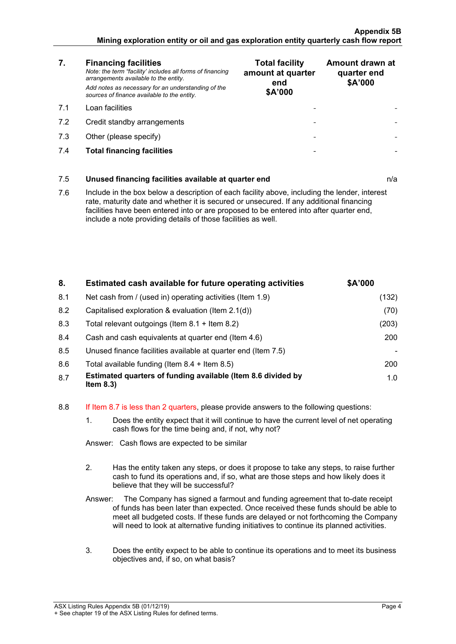- **7. Financing facilities** *Note: the term "facility' includes all forms of financing arrangements available to the entity. Add notes as necessary for an understanding of the sources of finance available to the entity.*
- 7.1 Loan facilities
- 7.2 Credit standby arrangements
- 7.3 Other (please specify)
- 7.4 **Total financing facilities - -**

| <b>Total facility</b><br>amount at quarter<br>end<br>\$A'000 | Amount drawn at<br>quarter end<br>\$A'000 |
|--------------------------------------------------------------|-------------------------------------------|
|                                                              |                                           |
|                                                              |                                           |
|                                                              |                                           |
|                                                              |                                           |

# 7.5 **Unused financing facilities available at quarter end** n/a

7.6 Include in the box below a description of each facility above, including the lender, interest rate, maturity date and whether it is secured or unsecured. If any additional financing facilities have been entered into or are proposed to be entered into after quarter end, include a note providing details of those facilities as well.

| 8.  | Estimated cash available for future operating activities                     | \$A'000 |
|-----|------------------------------------------------------------------------------|---------|
| 8.1 | Net cash from / (used in) operating activities (Item 1.9)                    | (132)   |
| 8.2 | Capitalised exploration & evaluation (Item 2.1(d))                           | (70)    |
| 8.3 | Total relevant outgoings (Item $8.1 +$ Item $8.2$ )                          | (203)   |
| 8.4 | Cash and cash equivalents at quarter end (Item 4.6)                          | 200     |
| 8.5 | Unused finance facilities available at quarter end (Item 7.5)                |         |
| 8.6 | Total available funding (Item $8.4 +$ Item $8.5$ )                           | 200     |
| 8.7 | Estimated quarters of funding available (Item 8.6 divided by<br>Item $8.3$ ) | 1.0     |

#### 8.8 If Item 8.7 is less than 2 quarters, please provide answers to the following questions:

1. Does the entity expect that it will continue to have the current level of net operating cash flows for the time being and, if not, why not?

|   | Answer: Cash flows are expected to be similar                                                                                                                                                                                                                                                                                                               |
|---|-------------------------------------------------------------------------------------------------------------------------------------------------------------------------------------------------------------------------------------------------------------------------------------------------------------------------------------------------------------|
|   | Has the entity taken any steps, or does it propose to take any steps, to raise further<br>cash to fund its operations and, if so, what are those steps and how likely does it<br>believe that they will be successful?                                                                                                                                      |
|   | Answer: The Company has signed a farmout and funding agreement that to-date receipt<br>of funds has been later than expected. Once received these funds should be able to<br>meet all budgeted costs. If these funds are delayed or not forthcoming the Company<br>will need to look at alternative funding initiatives to continue its planned activities. |
| 3 | Does the entity expect to be able to continue its operations and to meet its business<br>objectives and, if so, on what basis?                                                                                                                                                                                                                              |